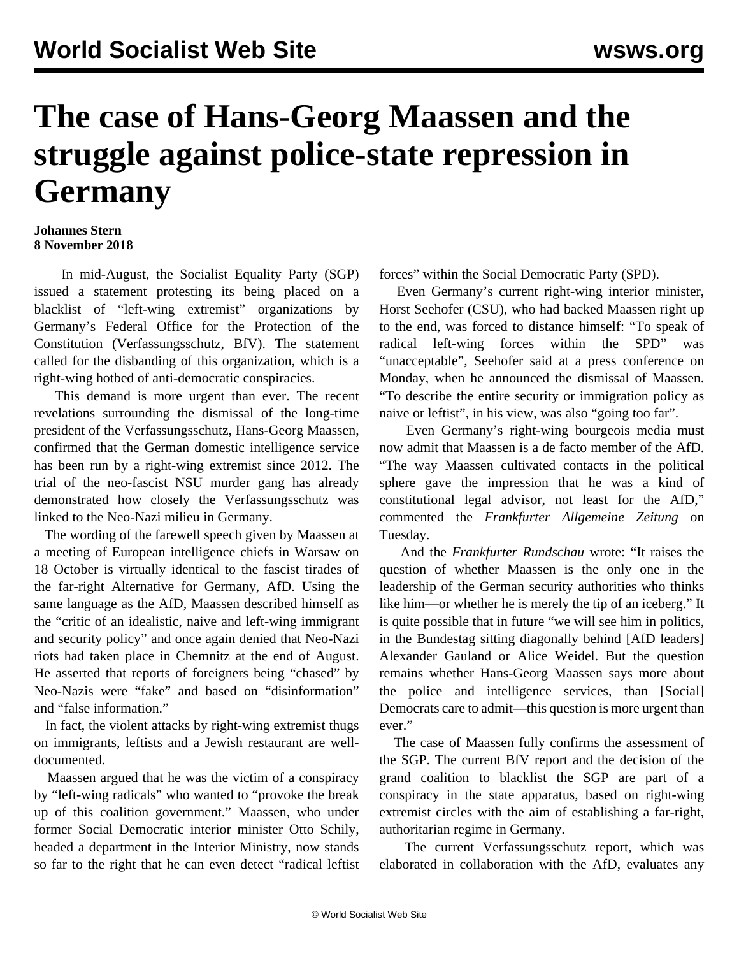## **The case of Hans-Georg Maassen and the struggle against police-state repression in Germany**

## **Johannes Stern 8 November 2018**

 In mid-August, the Socialist Equality Party (SGP) issued a [statement](/en/articles/2018/08/17/germ-a17.html) protesting its being placed on a blacklist of "left-wing extremist" organizations by Germany's Federal Office for the Protection of the Constitution (Verfassungsschutz, BfV). The statement called for the disbanding of this organization, which is a right-wing hotbed of anti-democratic conspiracies.

 This demand is more urgent than ever. The recent revelations surrounding the dismissal of the long-time president of the Verfassungsschutz, Hans-Georg Maassen, confirmed that the German domestic intelligence service has been run by a right-wing extremist since 2012. The trial of the neo-fascist NSU murder gang has already demonstrated how closely the Verfassungsschutz was linked to the Neo-Nazi milieu in Germany.

 The wording of the farewell speech given by Maassen at a meeting of European intelligence chiefs in Warsaw on 18 October is virtually identical to the fascist tirades of the far-right Alternative for Germany, AfD. Using the same language as the AfD, Maassen described himself as the "critic of an idealistic, naive and left-wing immigrant and security policy" and once again denied that Neo-Nazi riots had taken place in Chemnitz at the end of August. He asserted that reports of foreigners being "chased" by Neo-Nazis were "fake" and based on "disinformation" and "false information."

 In fact, the violent attacks by right-wing extremist thugs on immigrants, leftists and a Jewish restaurant are welldocumented.

 Maassen argued that he was the victim of a conspiracy by "left-wing radicals" who wanted to "provoke the break up of this coalition government." Maassen, who under former Social Democratic interior minister Otto Schily, headed a department in the Interior Ministry, now stands so far to the right that he can even detect "radical leftist forces" within the Social Democratic Party (SPD).

 Even Germany's current right-wing interior minister, Horst Seehofer (CSU), who had backed Maassen right up to the end, was forced to distance himself: "To speak of radical left-wing forces within the SPD" was "unacceptable", Seehofer said at a press conference on Monday, when he announced the dismissal of Maassen. "To describe the entire security or immigration policy as naive or leftist", in his view, was also "going too far".

 Even Germany's right-wing bourgeois media must now admit that Maassen is a de facto member of the AfD. "The way Maassen cultivated contacts in the political sphere gave the impression that he was a kind of constitutional legal advisor, not least for the AfD," commented the *Frankfurter Allgemeine Zeitung* on Tuesday.

 And the *Frankfurter Rundschau* wrote: "It raises the question of whether Maassen is the only one in the leadership of the German security authorities who thinks like him—or whether he is merely the tip of an iceberg." It is quite possible that in future "we will see him in politics, in the Bundestag sitting diagonally behind [AfD leaders] Alexander Gauland or Alice Weidel. But the question remains whether Hans-Georg Maassen says more about the police and intelligence services, than [Social] Democrats care to admit—this question is more urgent than ever."

 The case of Maassen fully confirms the assessment of the SGP. The current BfV report and the decision of the grand coalition to blacklist the SGP are part of a conspiracy in the state apparatus, based on right-wing extremist circles with the aim of establishing a far-right, authoritarian regime in Germany.

 The current Verfassungsschutz report, which was elaborated in collaboration with the AfD, evaluates any